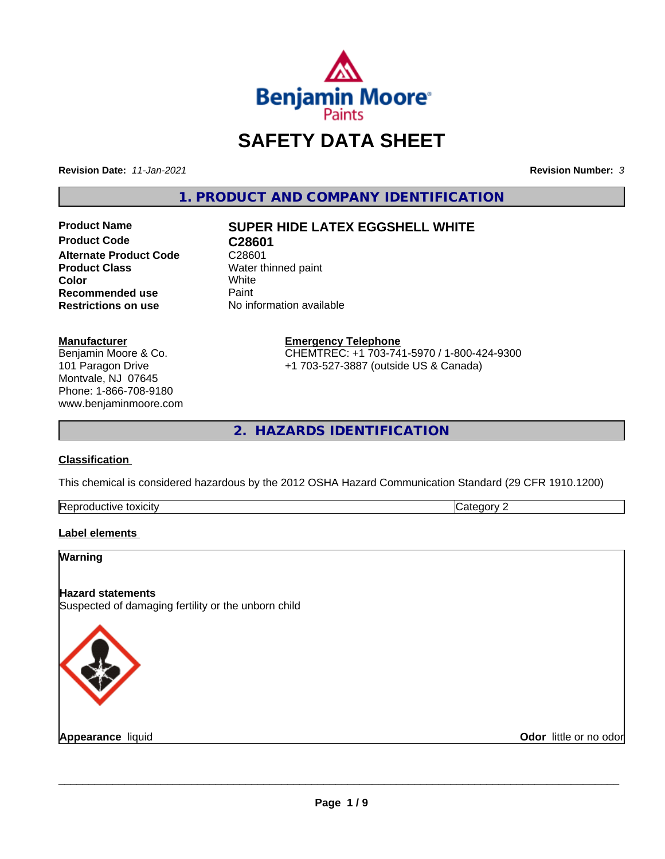

## **SAFETY DATA SHEET**

**Revision Date:** *11-Jan-2021* **Revision Number:** *3*

**1. PRODUCT AND COMPANY IDENTIFICATION**

**Product Name SUPER HIDE LATEX EGGSHELL WHITE Product Code C28601 Alternate Product Code** C28601<br> **Product Class** Water the **Color** White White **Recommended use** Paint<br> **Restrictions on use** No inf

**Water thinned paint**<br>White **Restrictions on use** No information available

#### **Manufacturer**

Benjamin Moore & Co. 101 Paragon Drive Montvale, NJ 07645 Phone: 1-866-708-9180 www.benjaminmoore.com

#### **Emergency Telephone** CHEMTREC: +1 703-741-5970 / 1-800-424-9300 +1 703-527-3887 (outside US & Canada)

**2. HAZARDS IDENTIFICATION**

#### **Classification**

This chemical is considered hazardous by the 2012 OSHA Hazard Communication Standard (29 CFR 1910.1200)

| $\sim$<br>toxicity<br><b>IRADI</b><br>evit≏<br>oauct. | $\sim$<br>--<br>. . |
|-------------------------------------------------------|---------------------|

#### **Label elements**

# **Warning Hazard statements** Suspected of damaging fertility or the unborn child

**Appearance** liquid

**Odor** little or no odor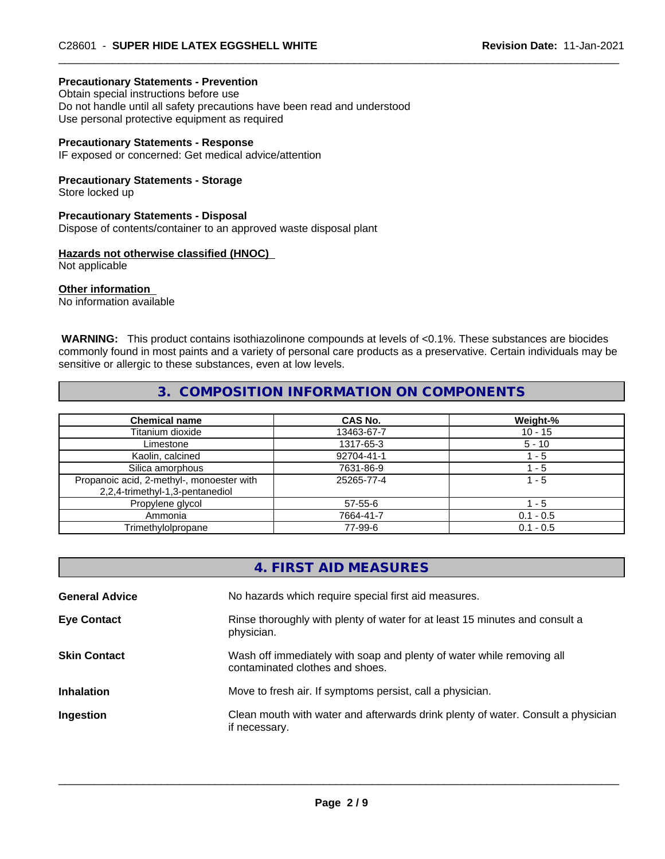#### **Precautionary Statements - Prevention**

Obtain special instructions before use Do not handle until all safety precautions have been read and understood Use personal protective equipment as required

#### **Precautionary Statements - Response**

IF exposed or concerned: Get medical advice/attention

#### **Precautionary Statements - Storage**

Store locked up

#### **Precautionary Statements - Disposal**

Dispose of contents/container to an approved waste disposal plant

#### **Hazards not otherwise classified (HNOC)**

Not applicable

#### **Other information**

No information available

 **WARNING:** This product contains isothiazolinone compounds at levels of <0.1%. These substances are biocides commonly found in most paints and a variety of personal care products as a preservative. Certain individuals may be sensitive or allergic to these substances, even at low levels.

#### **3. COMPOSITION INFORMATION ON COMPONENTS**

| <b>Chemical name</b>                                                         | <b>CAS No.</b> | Weight-%    |
|------------------------------------------------------------------------------|----------------|-------------|
| Titanium dioxide                                                             | 13463-67-7     | $10 - 15$   |
| Limestone                                                                    | 1317-65-3      | $5 - 10$    |
| Kaolin, calcined                                                             | 92704-41-1     | l - 5       |
| Silica amorphous                                                             | 7631-86-9      | l - 5       |
| Propanoic acid, 2-methyl-, monoester with<br>2,2,4-trimethyl-1,3-pentanediol | 25265-77-4     | 1 - 5       |
| Propylene glycol                                                             | 57-55-6        | 1 - 5       |
| Ammonia                                                                      | 7664-41-7      | $0.1 - 0.5$ |
| Trimethylolpropane                                                           | 77-99-6        | $0.1 - 0.5$ |

|                       | 4. FIRST AID MEASURES                                                                                    |
|-----------------------|----------------------------------------------------------------------------------------------------------|
| <b>General Advice</b> | No hazards which require special first aid measures.                                                     |
| <b>Eye Contact</b>    | Rinse thoroughly with plenty of water for at least 15 minutes and consult a<br>physician.                |
| <b>Skin Contact</b>   | Wash off immediately with soap and plenty of water while removing all<br>contaminated clothes and shoes. |
| <b>Inhalation</b>     | Move to fresh air. If symptoms persist, call a physician.                                                |
| Ingestion             | Clean mouth with water and afterwards drink plenty of water. Consult a physician<br>if necessary.        |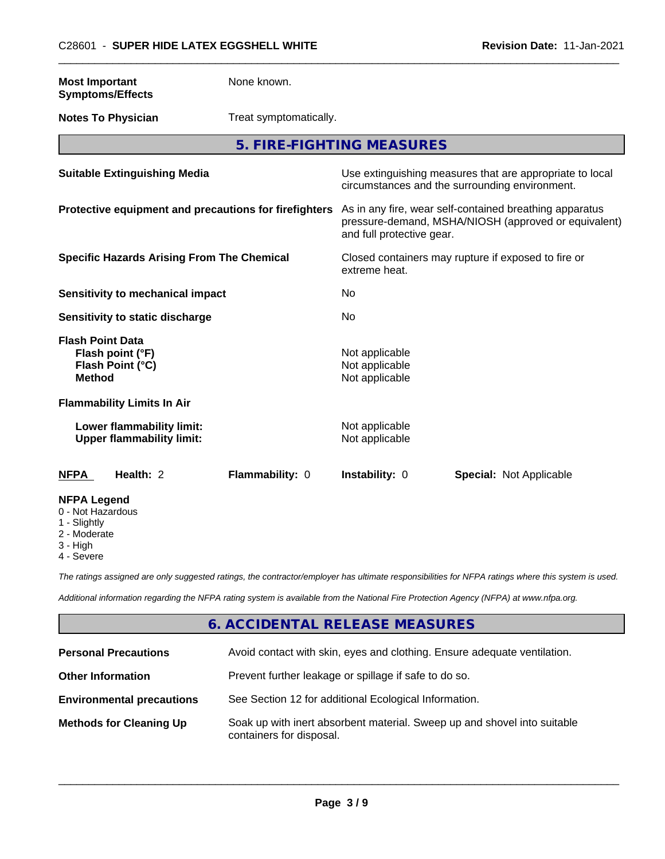| <b>Most Important</b><br><b>Symptoms/Effects</b>                                                  | None known.            |                                                                                                                                              |                                                                                                            |
|---------------------------------------------------------------------------------------------------|------------------------|----------------------------------------------------------------------------------------------------------------------------------------------|------------------------------------------------------------------------------------------------------------|
| <b>Notes To Physician</b>                                                                         | Treat symptomatically. |                                                                                                                                              |                                                                                                            |
|                                                                                                   |                        | 5. FIRE-FIGHTING MEASURES                                                                                                                    |                                                                                                            |
| <b>Suitable Extinguishing Media</b>                                                               |                        |                                                                                                                                              | Use extinguishing measures that are appropriate to local<br>circumstances and the surrounding environment. |
| Protective equipment and precautions for firefighters                                             |                        | As in any fire, wear self-contained breathing apparatus<br>pressure-demand, MSHA/NIOSH (approved or equivalent)<br>and full protective gear. |                                                                                                            |
| <b>Specific Hazards Arising From The Chemical</b>                                                 |                        | Closed containers may rupture if exposed to fire or<br>extreme heat.                                                                         |                                                                                                            |
| <b>Sensitivity to mechanical impact</b>                                                           |                        | No                                                                                                                                           |                                                                                                            |
| Sensitivity to static discharge                                                                   |                        | No                                                                                                                                           |                                                                                                            |
| <b>Flash Point Data</b><br>Flash point (°F)<br>Flash Point (°C)<br><b>Method</b>                  |                        | Not applicable<br>Not applicable<br>Not applicable                                                                                           |                                                                                                            |
| <b>Flammability Limits In Air</b>                                                                 |                        |                                                                                                                                              |                                                                                                            |
| Lower flammability limit:<br><b>Upper flammability limit:</b>                                     |                        | Not applicable<br>Not applicable                                                                                                             |                                                                                                            |
| <b>NFPA</b><br>Health: 2                                                                          | Flammability: 0        | Instability: 0                                                                                                                               | Special: Not Applicable                                                                                    |
| <b>NFPA Legend</b><br>0 - Not Hazardous<br>1 - Slightly<br>2 - Moderate<br>3 - High<br>4 - Severe |                        |                                                                                                                                              |                                                                                                            |

*The ratings assigned are only suggested ratings, the contractor/employer has ultimate responsibilities for NFPA ratings where this system is used.*

*Additional information regarding the NFPA rating system is available from the National Fire Protection Agency (NFPA) at www.nfpa.org.*

#### **6. ACCIDENTAL RELEASE MEASURES**

| <b>Personal Precautions</b>      | Avoid contact with skin, eyes and clothing. Ensure adequate ventilation.                             |
|----------------------------------|------------------------------------------------------------------------------------------------------|
| <b>Other Information</b>         | Prevent further leakage or spillage if safe to do so.                                                |
| <b>Environmental precautions</b> | See Section 12 for additional Ecological Information.                                                |
| <b>Methods for Cleaning Up</b>   | Soak up with inert absorbent material. Sweep up and shovel into suitable<br>containers for disposal. |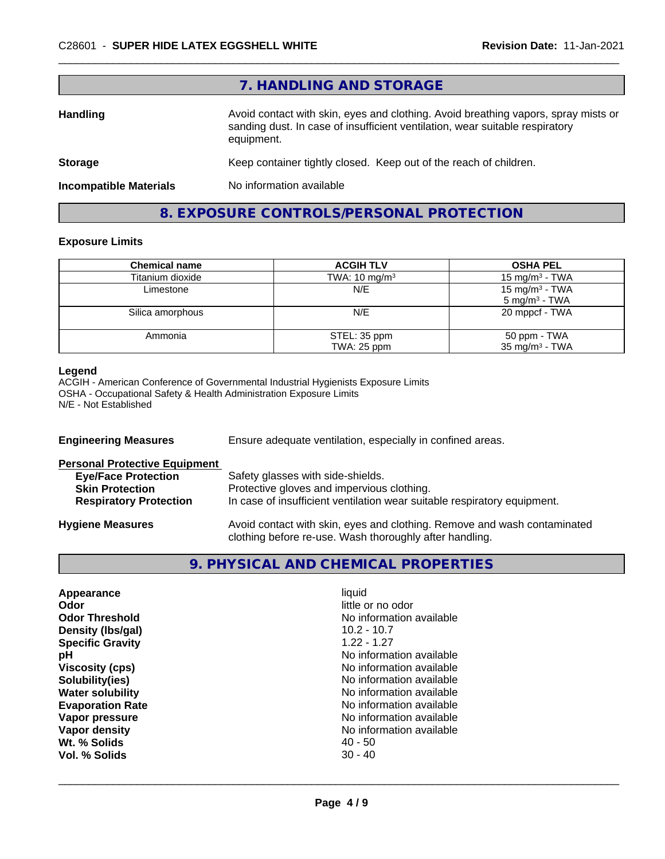|                               | 7. HANDLING AND STORAGE                                                                                                                                                          |
|-------------------------------|----------------------------------------------------------------------------------------------------------------------------------------------------------------------------------|
| <b>Handling</b>               | Avoid contact with skin, eyes and clothing. Avoid breathing vapors, spray mists or<br>sanding dust. In case of insufficient ventilation, wear suitable respiratory<br>equipment. |
| <b>Storage</b>                | Keep container tightly closed. Keep out of the reach of children.                                                                                                                |
| <b>Incompatible Materials</b> | No information available                                                                                                                                                         |
|                               |                                                                                                                                                                                  |

## **8. EXPOSURE CONTROLS/PERSONAL PROTECTION**

#### **Exposure Limits**

| <b>Chemical name</b> | <b>ACGIH TLV</b>            | <b>OSHA PEL</b>                                        |
|----------------------|-----------------------------|--------------------------------------------------------|
| Titanium dioxide     | TWA: $10 \text{ mg/m}^3$    | 15 mg/m $3$ - TWA                                      |
| Limestone            | N/E                         | 15 mg/m <sup>3</sup> - TWA<br>$5 \text{ mg/m}^3$ - TWA |
| Silica amorphous     | N/E                         | 20 mppcf - TWA                                         |
| Ammonia              | STEL: 35 ppm<br>TWA: 25 ppm | 50 ppm - TWA<br>$35 \text{ mg/m}^3$ - TWA              |

#### **Legend**

ACGIH - American Conference of Governmental Industrial Hygienists Exposure Limits OSHA - Occupational Safety & Health Administration Exposure Limits N/E - Not Established

| <b>Engineering Measures</b>          | Ensure adequate ventilation, especially in confined areas.                                                                          |
|--------------------------------------|-------------------------------------------------------------------------------------------------------------------------------------|
| <b>Personal Protective Equipment</b> |                                                                                                                                     |
| <b>Eye/Face Protection</b>           | Safety glasses with side-shields.                                                                                                   |
| <b>Skin Protection</b>               | Protective gloves and impervious clothing.                                                                                          |
| <b>Respiratory Protection</b>        | In case of insufficient ventilation wear suitable respiratory equipment.                                                            |
| <b>Hygiene Measures</b>              | Avoid contact with skin, eyes and clothing. Remove and wash contaminated<br>clothing before re-use. Wash thoroughly after handling. |

#### **9. PHYSICAL AND CHEMICAL PROPERTIES**

| No information available<br>рH<br>No information available<br><b>Viscosity (cps)</b><br>No information available<br>Solubility(ies)<br><b>Water solubility</b><br>No information available<br>No information available<br><b>Evaporation Rate</b><br>No information available<br>Vapor pressure<br>Vapor density<br>No information available<br>Wt. % Solids<br>$40 - 50$<br>$30 - 40$<br>Vol. % Solids | Appearance<br>Odor<br><b>Odor Threshold</b><br>Density (Ibs/gal)<br><b>Specific Gravity</b> | liquid<br>little or no odor<br>No information available<br>$10.2 - 10.7$<br>$1.22 - 1.27$ |  |
|---------------------------------------------------------------------------------------------------------------------------------------------------------------------------------------------------------------------------------------------------------------------------------------------------------------------------------------------------------------------------------------------------------|---------------------------------------------------------------------------------------------|-------------------------------------------------------------------------------------------|--|
|---------------------------------------------------------------------------------------------------------------------------------------------------------------------------------------------------------------------------------------------------------------------------------------------------------------------------------------------------------------------------------------------------------|---------------------------------------------------------------------------------------------|-------------------------------------------------------------------------------------------|--|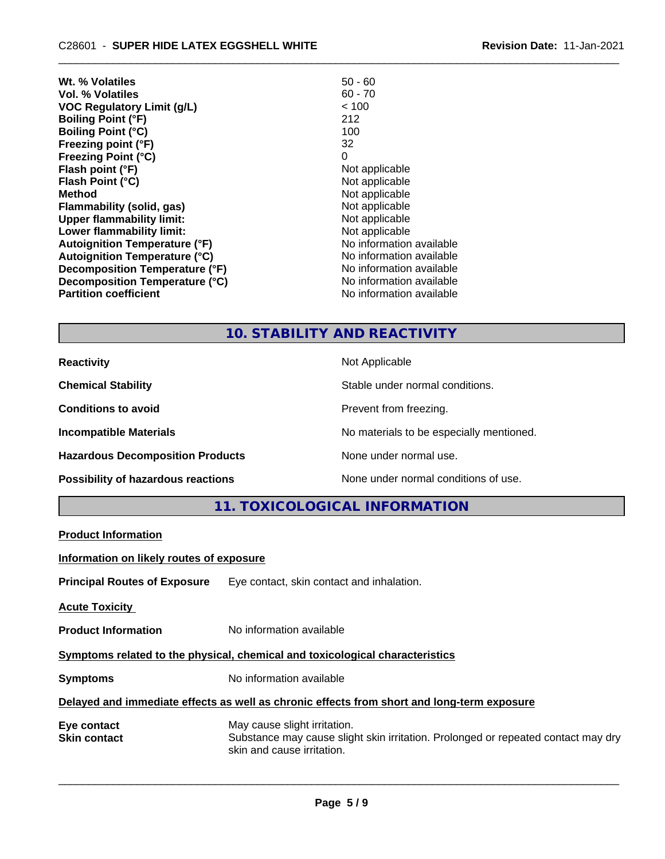| Wt. % Volatiles                      | $50 - 60$                |
|--------------------------------------|--------------------------|
| Vol. % Volatiles                     | $60 - 70$                |
| VOC Regulatory Limit (g/L)           | < 100                    |
| <b>Boiling Point (°F)</b>            | 212                      |
| <b>Boiling Point (°C)</b>            | 100                      |
| Freezing point (°F)                  | 32                       |
| <b>Freezing Point (°C)</b>           | 0                        |
| Flash point (°F)                     | Not applicable           |
| Flash Point (°C)                     | Not applicable           |
| <b>Method</b>                        | Not applicable           |
| Flammability (solid, gas)            | Not applicable           |
| <b>Upper flammability limit:</b>     | Not applicable           |
| Lower flammability limit:            | Not applicable           |
| <b>Autoignition Temperature (°F)</b> | No information available |
| <b>Autoignition Temperature (°C)</b> | No information available |
| Decomposition Temperature (°F)       | No information available |
| Decomposition Temperature (°C)       | No information available |
| <b>Partition coefficient</b>         | No information available |

## **10. STABILITY AND REACTIVITY**

| <b>Reactivity</b>                       | Not Applicable                           |
|-----------------------------------------|------------------------------------------|
| <b>Chemical Stability</b>               | Stable under normal conditions.          |
| <b>Conditions to avoid</b>              | Prevent from freezing.                   |
| <b>Incompatible Materials</b>           | No materials to be especially mentioned. |
| <b>Hazardous Decomposition Products</b> | None under normal use.                   |
| Possibility of hazardous reactions      | None under normal conditions of use.     |

**11. TOXICOLOGICAL INFORMATION**

| Information on likely routes of exposure<br>Eye contact, skin contact and inhalation.<br>No information available<br>Symptoms related to the physical, chemical and toxicological characteristics<br>No information available<br>Delayed and immediate effects as well as chronic effects from short and long-term exposure<br>May cause slight irritation.<br>Substance may cause slight skin irritation. Prolonged or repeated contact may dry<br>skin and cause irritation. | <b>Product Information</b>          |  |
|--------------------------------------------------------------------------------------------------------------------------------------------------------------------------------------------------------------------------------------------------------------------------------------------------------------------------------------------------------------------------------------------------------------------------------------------------------------------------------|-------------------------------------|--|
|                                                                                                                                                                                                                                                                                                                                                                                                                                                                                |                                     |  |
|                                                                                                                                                                                                                                                                                                                                                                                                                                                                                | <b>Principal Routes of Exposure</b> |  |
|                                                                                                                                                                                                                                                                                                                                                                                                                                                                                | <b>Acute Toxicity</b>               |  |
|                                                                                                                                                                                                                                                                                                                                                                                                                                                                                | <b>Product Information</b>          |  |
|                                                                                                                                                                                                                                                                                                                                                                                                                                                                                |                                     |  |
|                                                                                                                                                                                                                                                                                                                                                                                                                                                                                | <b>Symptoms</b>                     |  |
|                                                                                                                                                                                                                                                                                                                                                                                                                                                                                |                                     |  |
|                                                                                                                                                                                                                                                                                                                                                                                                                                                                                | Eye contact<br><b>Skin contact</b>  |  |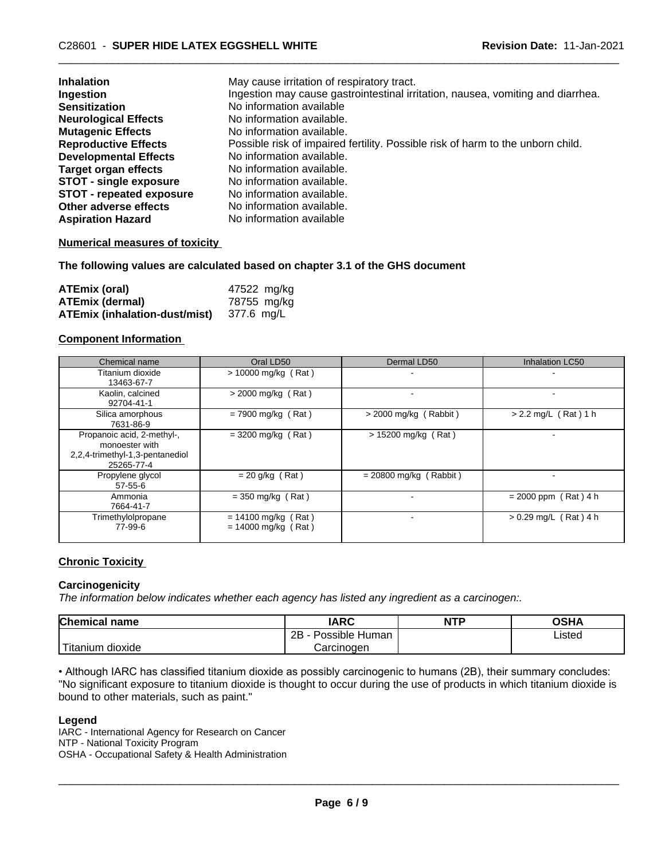| <b>Inhalation</b>               | May cause irritation of respiratory tract.                                      |
|---------------------------------|---------------------------------------------------------------------------------|
| Ingestion                       | Ingestion may cause gastrointestinal irritation, nausea, vomiting and diarrhea. |
| <b>Sensitization</b>            | No information available                                                        |
| <b>Neurological Effects</b>     | No information available.                                                       |
| <b>Mutagenic Effects</b>        | No information available.                                                       |
| <b>Reproductive Effects</b>     | Possible risk of impaired fertility. Possible risk of harm to the unborn child. |
| <b>Developmental Effects</b>    | No information available.                                                       |
| <b>Target organ effects</b>     | No information available.                                                       |
| <b>STOT - single exposure</b>   | No information available.                                                       |
| <b>STOT - repeated exposure</b> | No information available.                                                       |
| Other adverse effects           | No information available.                                                       |
| <b>Aspiration Hazard</b>        | No information available                                                        |

#### **Numerical measures of toxicity**

#### **The following values are calculated based on chapter 3.1 of the GHS document**

| ATEmix (oral)                                   | 47522 mg/kg |
|-------------------------------------------------|-------------|
| <b>ATEmix (dermal)</b>                          | 78755 mg/kg |
| <b>ATEmix (inhalation-dust/mist)</b> 377.6 mg/L |             |

#### **Component Information**

| Chemical name                                                                                 | Oral LD50                                      | Dermal LD50              | <b>Inhalation LC50</b>  |
|-----------------------------------------------------------------------------------------------|------------------------------------------------|--------------------------|-------------------------|
| Titanium dioxide<br>13463-67-7                                                                | $> 10000$ mg/kg (Rat)                          | $\overline{\phantom{a}}$ |                         |
| Kaolin, calcined<br>92704-41-1                                                                | $>$ 2000 mg/kg (Rat)                           |                          |                         |
| Silica amorphous<br>7631-86-9                                                                 | $= 7900$ mg/kg (Rat)                           | $>$ 2000 mg/kg (Rabbit)  | $> 2.2$ mg/L (Rat) 1 h  |
| Propanoic acid, 2-methyl-,<br>monoester with<br>2,2,4-trimethyl-1,3-pentanediol<br>25265-77-4 | $=$ 3200 mg/kg (Rat)                           | $> 15200$ mg/kg (Rat)    | -                       |
| Propylene glycol<br>$57 - 55 - 6$                                                             | $= 20$ g/kg (Rat)                              | $= 20800$ mg/kg (Rabbit) |                         |
| Ammonia<br>7664-41-7                                                                          | $=$ 350 mg/kg (Rat)                            |                          | $= 2000$ ppm (Rat) 4 h  |
| Trimethylolpropane<br>77-99-6                                                                 | $= 14100$ mg/kg (Rat)<br>$= 14000$ mg/kg (Rat) |                          | $> 0.29$ mg/L (Rat) 4 h |

#### **Chronic Toxicity**

#### **Carcinogenicity**

*The information below indicateswhether each agency has listed any ingredient as a carcinogen:.*

| <b>Chemical name</b>           | <b>IARC</b>                    | <b>NTP</b> | OSHA        |
|--------------------------------|--------------------------------|------------|-------------|
|                                | .<br>2B<br>⊧ Human<br>Possible |            | Listed<br>. |
| .<br>dioxide<br><b>itanium</b> | Carcinogen                     |            |             |

• Although IARC has classified titanium dioxide as possibly carcinogenic to humans (2B), their summary concludes: "No significant exposure to titanium dioxide is thought to occur during the use of products in which titanium dioxide is bound to other materials, such as paint."

#### **Legend**

IARC - International Agency for Research on Cancer NTP - National Toxicity Program OSHA - Occupational Safety & Health Administration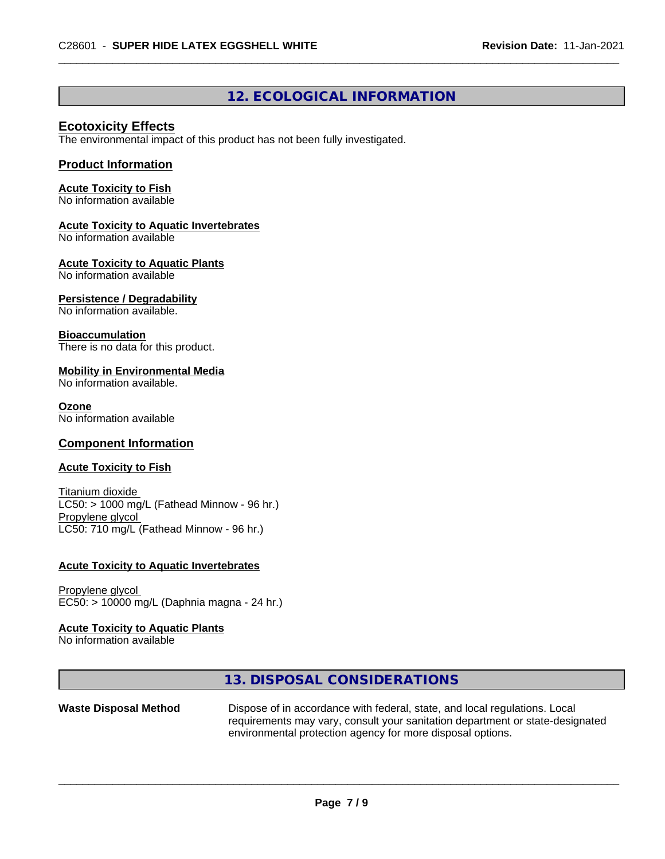#### **12. ECOLOGICAL INFORMATION**

#### **Ecotoxicity Effects**

The environmental impact of this product has not been fully investigated.

#### **Product Information**

#### **Acute Toxicity to Fish**

No information available

#### **Acute Toxicity to Aquatic Invertebrates**

No information available

#### **Acute Toxicity to Aquatic Plants**

No information available

#### **Persistence / Degradability**

No information available.

#### **Bioaccumulation**

There is no data for this product.

#### **Mobility in Environmental Media**

No information available.

#### **Ozone**

No information available

#### **Component Information**

#### **Acute Toxicity to Fish**

Titanium dioxide  $LC50:$  > 1000 mg/L (Fathead Minnow - 96 hr.) Propylene glycol LC50: 710 mg/L (Fathead Minnow - 96 hr.)

#### **Acute Toxicity to Aquatic Invertebrates**

Propylene glycol EC50: > 10000 mg/L (Daphnia magna - 24 hr.)

#### **Acute Toxicity to Aquatic Plants**

No information available

#### **13. DISPOSAL CONSIDERATIONS**

**Waste Disposal Method** Dispose of in accordance with federal, state, and local regulations. Local requirements may vary, consult your sanitation department or state-designated environmental protection agency for more disposal options.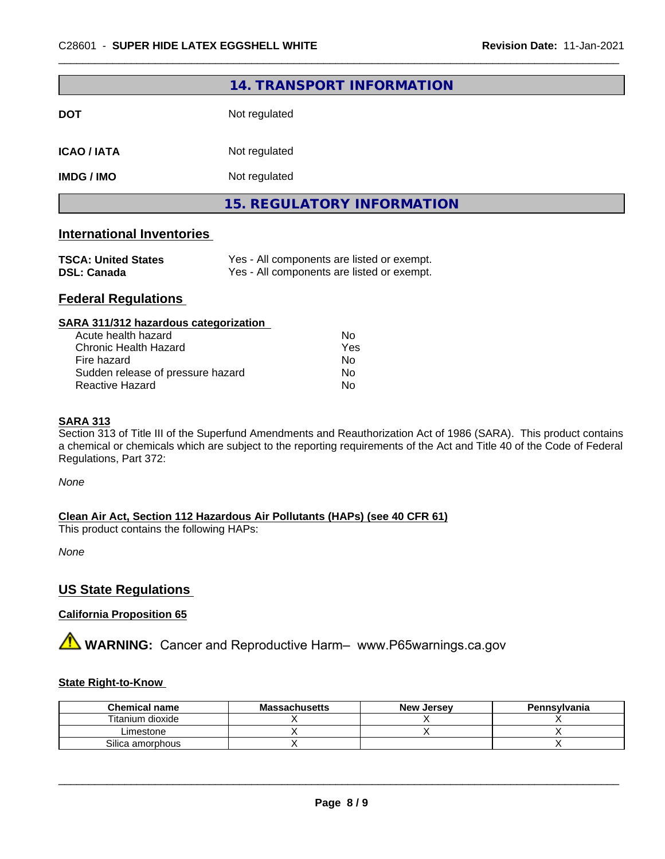|             | 14. TRANSPORT INFORMATION         |
|-------------|-----------------------------------|
| DOT         | Not regulated                     |
| ICAO / IATA | Not regulated                     |
| IMDG / IMO  | Not regulated                     |
|             | <b>15. REGULATORY INFORMATION</b> |

#### **International Inventories**

| <b>TSCA: United States</b> | Yes - All components are listed or exempt. |
|----------------------------|--------------------------------------------|
| <b>DSL: Canada</b>         | Yes - All components are listed or exempt. |

#### **Federal Regulations**

| SARA 311/312 hazardous categorization |  |
|---------------------------------------|--|
|---------------------------------------|--|

| Acute health hazard               | Nο  |
|-----------------------------------|-----|
| Chronic Health Hazard             | Yes |
| Fire hazard                       | N٥  |
| Sudden release of pressure hazard | Nο  |
| Reactive Hazard                   | N٥  |

#### **SARA 313**

Section 313 of Title III of the Superfund Amendments and Reauthorization Act of 1986 (SARA). This product contains a chemical or chemicals which are subject to the reporting requirements of the Act and Title 40 of the Code of Federal Regulations, Part 372:

*None*

**Clean Air Act,Section 112 Hazardous Air Pollutants (HAPs) (see 40 CFR 61)**

This product contains the following HAPs:

*None*

#### **US State Regulations**

#### **California Proposition 65**

**A** WARNING: Cancer and Reproductive Harm– www.P65warnings.ca.gov

#### **State Right-to-Know**

| <b>Chemical name</b> | <b>Massachusetts</b> | <b>New Jersey</b> | Pennsylvania |
|----------------------|----------------------|-------------------|--------------|
| Titanium dioxide     |                      |                   |              |
| Limestone            |                      |                   |              |
| Silica amorphous     |                      |                   |              |